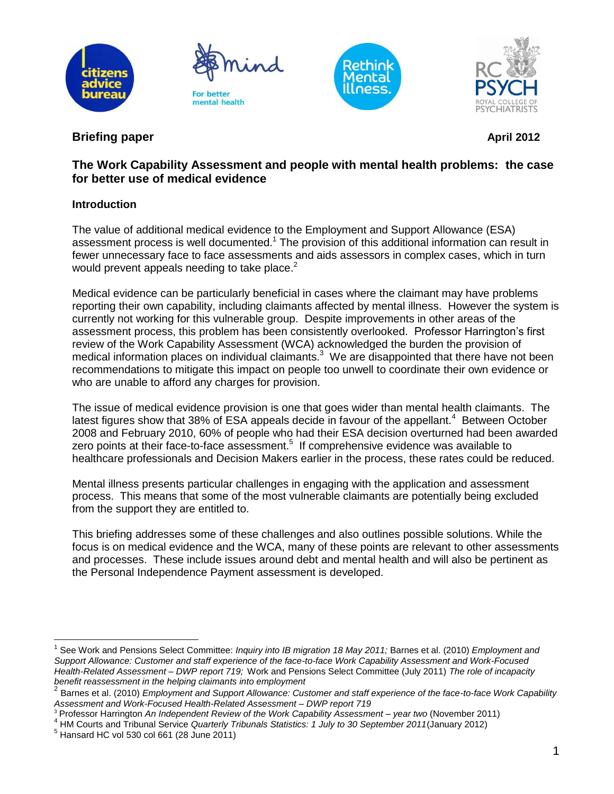







# **Briefing paper April 2012**

## **The Work Capability Assessment and people with mental health problems: the case for better use of medical evidence**

## **Introduction**

The value of additional medical evidence to the Employment and Support Allowance (ESA) assessment process is well documented.<sup>1</sup> The provision of this additional information can result in fewer unnecessary face to face assessments and aids assessors in complex cases, which in turn would prevent appeals needing to take place.<sup>2</sup>

Medical evidence can be particularly beneficial in cases where the claimant may have problems reporting their own capability, including claimants affected by mental illness. However the system is currently not working for this vulnerable group. Despite improvements in other areas of the assessment process, this problem has been consistently overlooked. Professor Harrington's first review of the Work Capability Assessment (WCA) acknowledged the burden the provision of medical information places on individual claimants.<sup>3</sup> We are disappointed that there have not been recommendations to mitigate this impact on people too unwell to coordinate their own evidence or who are unable to afford any charges for provision.

The issue of medical evidence provision is one that goes wider than mental health claimants. The latest figures show that 38% of ESA appeals decide in favour of the appellant.<sup>4</sup> Between October 2008 and February 2010, 60% of people who had their ESA decision overturned had been awarded zero points at their face-to-face assessment.<sup>5</sup> If comprehensive evidence was available to healthcare professionals and Decision Makers earlier in the process, these rates could be reduced.

Mental illness presents particular challenges in engaging with the application and assessment process. This means that some of the most vulnerable claimants are potentially being excluded from the support they are entitled to.

This briefing addresses some of these challenges and also outlines possible solutions. While the focus is on medical evidence and the WCA, many of these points are relevant to other assessments and processes. These include issues around debt and mental health and will also be pertinent as the Personal Independence Payment assessment is developed.

 $\overline{a}$ 1 See Work and Pensions Select Committee: *Inquiry into IB migration 18 May 2011;* Barnes et al. (2010) *Employment and Support Allowance: Customer and staff experience of the face-to-face Work Capability Assessment and Work-Focused Health-Related Assessment – DWP report 719;* Work and Pensions Select Committee (July 2011) *The role of incapacity benefit reassessment in the helping claimants into employment* 

<sup>2</sup> Barnes et al. (2010) *Employment and Support Allowance: Customer and staff experience of the face-to-face Work Capability Assessment and Work-Focused Health-Related Assessment – DWP report 719*

<sup>3</sup> Professor Harrington *An Independent Review of the Work Capability Assessment – year two* (November 2011)

<sup>4</sup> HM Courts and Tribunal Service *Quarterly Tribunals Statistics: 1 July to 30 September 2011*(January 2012)

 $<sup>5</sup>$  Hansard HC vol 530 col 661 (28 June 2011)</sup>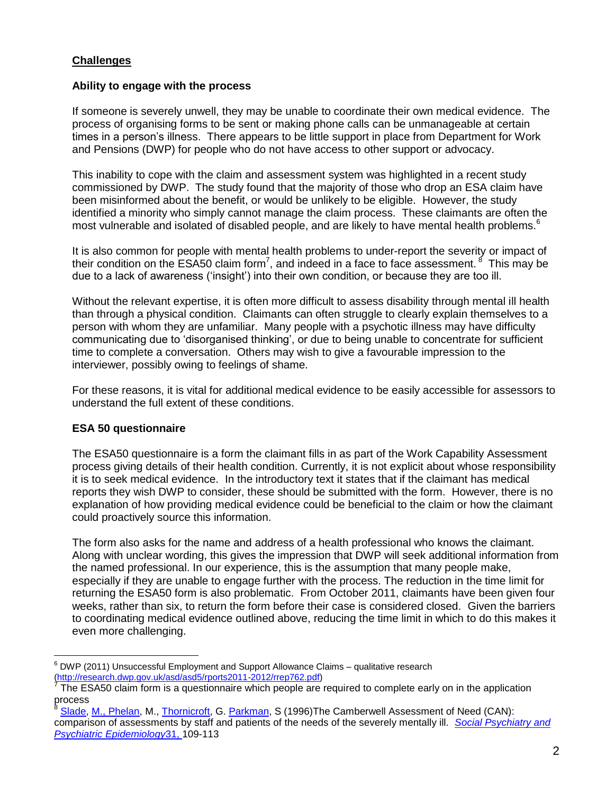### **Challenges**

#### **Ability to engage with the process**

If someone is severely unwell, they may be unable to coordinate their own medical evidence. The process of organising forms to be sent or making phone calls can be unmanageable at certain times in a person's illness. There appears to be little support in place from Department for Work and Pensions (DWP) for people who do not have access to other support or advocacy.

This inability to cope with the claim and assessment system was highlighted in a recent study commissioned by DWP. The study found that the majority of those who drop an ESA claim have been misinformed about the benefit, or would be unlikely to be eligible. However, the study identified a minority who simply cannot manage the claim process. These claimants are often the most vulnerable and isolated of disabled people, and are likely to have mental health problems.<sup>6</sup>

It is also common for people with mental health problems to under-report the severity or impact of their condition on the ESA50 claim form<sup>7</sup>, and indeed in a face to face assessment. <sup>8</sup> This may be due to a lack of awareness ('insight') into their own condition, or because they are too ill.

Without the relevant expertise, it is often more difficult to assess disability through mental ill health than through a physical condition. Claimants can often struggle to clearly explain themselves to a person with whom they are unfamiliar. Many people with a psychotic illness may have difficulty communicating due to 'disorganised thinking', or due to being unable to concentrate for sufficient time to complete a conversation. Others may wish to give a favourable impression to the interviewer, possibly owing to feelings of shame.

For these reasons, it is vital for additional medical evidence to be easily accessible for assessors to understand the full extent of these conditions.

### **ESA 50 questionnaire**

The ESA50 questionnaire is a form the claimant fills in as part of the Work Capability Assessment process giving details of their health condition. Currently, it is not explicit about whose responsibility it is to seek medical evidence. In the introductory text it states that if the claimant has medical reports they wish DWP to consider, these should be submitted with the form. However, there is no explanation of how providing medical evidence could be beneficial to the claim or how the claimant could proactively source this information.

The form also asks for the name and address of a health professional who knows the claimant. Along with unclear wording, this gives the impression that DWP will seek additional information from the named professional. In our experience, this is the assumption that many people make, especially if they are unable to engage further with the process. The reduction in the time limit for returning the ESA50 form is also problematic. From October 2011, claimants have been given four weeks, rather than six, to return the form before their case is considered closed. Given the barriers to coordinating medical evidence outlined above, reducing the time limit in which to do this makes it even more challenging.

 $\overline{a}$  $6$  DWP (2011) Unsuccessful Employment and Support Allowance Claims – qualitative research [\(http://research.dwp.gov.uk/asd/asd5/rports2011-2012/rrep762.pdf\)](http://research.dwp.gov.uk/asd/asd5/rports2011-2012/rrep762.pdf)

<sup>7</sup> The ESA50 claim form is a questionnaire which people are required to complete early on in the application process

[Slade,](http://www.springerlink.com/content/?Author=M.+Slade) [M., Phelan,](http://www.springerlink.com/content/?Author=M.+Phelan) M., [Thornicroft,](http://www.springerlink.com/content/?Author=G.+Thornicroft) G. [Parkman,](http://www.springerlink.com/content/?Author=S.+Parkman) S (1996)The Camberwell Assessment of Need (CAN): comparison of assessments by staff and patients of the needs of the severely mentally ill. *[Social Psychiatry and](https://springerlink3.metapress.com/content/0933-7954/)  [Psychiatric Epidemiology](https://springerlink3.metapress.com/content/0933-7954/)*[31, 1](https://springerlink3.metapress.com/content/0933-7954/)09-113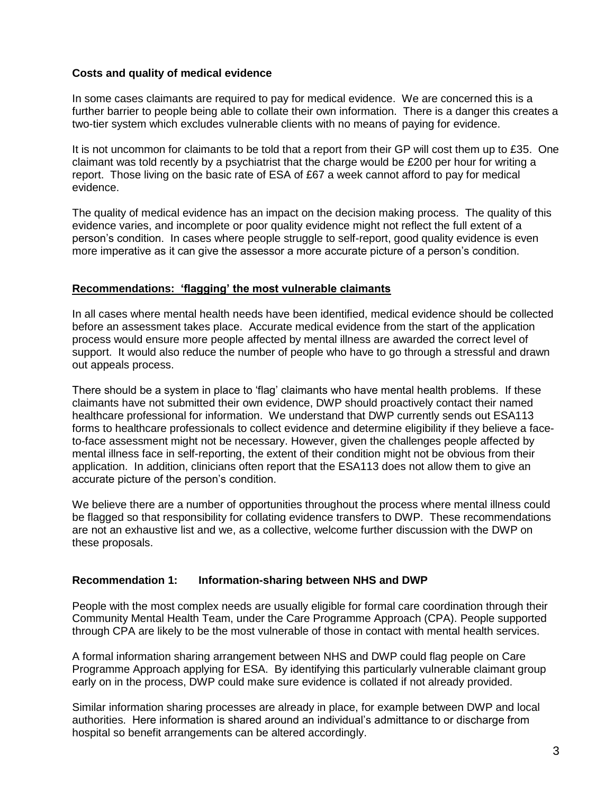#### **Costs and quality of medical evidence**

In some cases claimants are required to pay for medical evidence. We are concerned this is a further barrier to people being able to collate their own information. There is a danger this creates a two-tier system which excludes vulnerable clients with no means of paying for evidence.

It is not uncommon for claimants to be told that a report from their GP will cost them up to £35. One claimant was told recently by a psychiatrist that the charge would be £200 per hour for writing a report. Those living on the basic rate of ESA of £67 a week cannot afford to pay for medical evidence.

The quality of medical evidence has an impact on the decision making process. The quality of this evidence varies, and incomplete or poor quality evidence might not reflect the full extent of a person's condition. In cases where people struggle to self-report, good quality evidence is even more imperative as it can give the assessor a more accurate picture of a person's condition.

#### **Recommendations: 'flagging' the most vulnerable claimants**

In all cases where mental health needs have been identified, medical evidence should be collected before an assessment takes place. Accurate medical evidence from the start of the application process would ensure more people affected by mental illness are awarded the correct level of support. It would also reduce the number of people who have to go through a stressful and drawn out appeals process.

There should be a system in place to 'flag' claimants who have mental health problems. If these claimants have not submitted their own evidence, DWP should proactively contact their named healthcare professional for information. We understand that DWP currently sends out ESA113 forms to healthcare professionals to collect evidence and determine eligibility if they believe a faceto-face assessment might not be necessary. However, given the challenges people affected by mental illness face in self-reporting, the extent of their condition might not be obvious from their application. In addition, clinicians often report that the ESA113 does not allow them to give an accurate picture of the person's condition.

We believe there are a number of opportunities throughout the process where mental illness could be flagged so that responsibility for collating evidence transfers to DWP. These recommendations are not an exhaustive list and we, as a collective, welcome further discussion with the DWP on these proposals.

### **Recommendation 1: Information-sharing between NHS and DWP**

People with the most complex needs are usually eligible for formal care coordination through their Community Mental Health Team, under the Care Programme Approach (CPA). People supported through CPA are likely to be the most vulnerable of those in contact with mental health services.

A formal information sharing arrangement between NHS and DWP could flag people on Care Programme Approach applying for ESA. By identifying this particularly vulnerable claimant group early on in the process, DWP could make sure evidence is collated if not already provided.

Similar information sharing processes are already in place, for example between DWP and local authorities. Here information is shared around an individual's admittance to or discharge from hospital so benefit arrangements can be altered accordingly.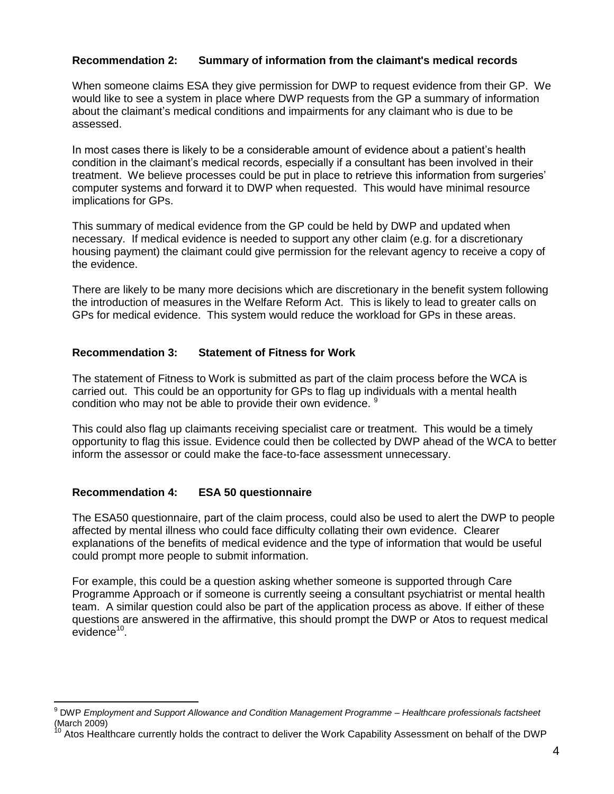### **Recommendation 2: Summary of information from the claimant's medical records**

When someone claims ESA they give permission for DWP to request evidence from their GP. We would like to see a system in place where DWP requests from the GP a summary of information about the claimant's medical conditions and impairments for any claimant who is due to be assessed.

In most cases there is likely to be a considerable amount of evidence about a patient's health condition in the claimant's medical records, especially if a consultant has been involved in their treatment. We believe processes could be put in place to retrieve this information from surgeries' computer systems and forward it to DWP when requested. This would have minimal resource implications for GPs.

This summary of medical evidence from the GP could be held by DWP and updated when necessary. If medical evidence is needed to support any other claim (e.g. for a discretionary housing payment) the claimant could give permission for the relevant agency to receive a copy of the evidence.

There are likely to be many more decisions which are discretionary in the benefit system following the introduction of measures in the Welfare Reform Act. This is likely to lead to greater calls on GPs for medical evidence. This system would reduce the workload for GPs in these areas.

## **Recommendation 3: Statement of Fitness for Work**

The statement of Fitness to Work is submitted as part of the claim process before the WCA is carried out. This could be an opportunity for GPs to flag up individuals with a mental health condition who may not be able to provide their own evidence. <sup>9</sup>

This could also flag up claimants receiving specialist care or treatment. This would be a timely opportunity to flag this issue. Evidence could then be collected by DWP ahead of the WCA to better inform the assessor or could make the face-to-face assessment unnecessary.

## **Recommendation 4: ESA 50 questionnaire**

 $\overline{a}$ 

The ESA50 questionnaire, part of the claim process, could also be used to alert the DWP to people affected by mental illness who could face difficulty collating their own evidence. Clearer explanations of the benefits of medical evidence and the type of information that would be useful could prompt more people to submit information.

For example, this could be a question asking whether someone is supported through Care Programme Approach or if someone is currently seeing a consultant psychiatrist or mental health team. A similar question could also be part of the application process as above. If either of these questions are answered in the affirmative, this should prompt the DWP or Atos to request medical  $e$ vidence $10$ .

<sup>9</sup> DWP *Employment and Support Allowance and Condition Management Programme – Healthcare professionals factsheet*  (March 2009)

Atos Healthcare currently holds the contract to deliver the Work Capability Assessment on behalf of the DWP